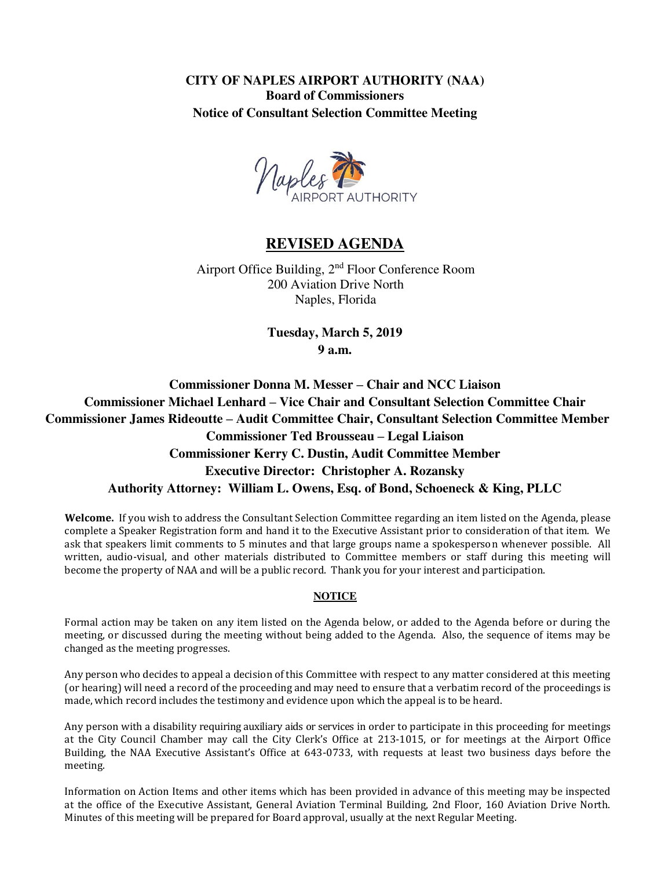**CITY OF NAPLES AIRPORT AUTHORITY (NAA) Board of Commissioners Notice of Consultant Selection Committee Meeting** 



# **REVISED AGENDA**

Airport Office Building, 2nd Floor Conference Room 200 Aviation Drive North Naples, Florida

> **Tuesday, March 5, 2019 9 a.m.**

**Commissioner Donna M. Messer – Chair and NCC Liaison Commissioner Michael Lenhard – Vice Chair and Consultant Selection Committee Chair Commissioner James Rideoutte – Audit Committee Chair, Consultant Selection Committee Member Commissioner Ted Brousseau – Legal Liaison Commissioner Kerry C. Dustin, Audit Committee Member Executive Director: Christopher A. Rozansky Authority Attorney: William L. Owens, Esq. of Bond, Schoeneck & King, PLLC** 

**Welcome.** If you wish to address the Consultant Selection Committee regarding an item listed on the Agenda, please complete a Speaker Registration form and hand it to the Executive Assistant prior to consideration of that item. We ask that speakers limit comments to 5 minutes and that large groups name a spokesperson whenever possible. All written, audio-visual, and other materials distributed to Committee members or staff during this meeting will become the property of NAA and will be a public record. Thank you for your interest and participation.

#### **NOTICE**

Formal action may be taken on any item listed on the Agenda below, or added to the Agenda before or during the meeting, or discussed during the meeting without being added to the Agenda. Also, the sequence of items may be changed as the meeting progresses.

Any person who decides to appeal a decision of this Committee with respect to any matter considered at this meeting (or hearing) will need a record of the proceeding and may need to ensure that a verbatim record of the proceedings is made, which record includes the testimony and evidence upon which the appeal is to be heard.

Any person with a disability requiring auxiliary aids or services in order to participate in this proceeding for meetings at the City Council Chamber may call the City Clerk's Office at 213-1015, or for meetings at the Airport Office Building, the NAA Executive Assistant's Office at 643-0733, with requests at least two business days before the meeting.

Information on Action Items and other items which has been provided in advance of this meeting may be inspected at the office of the Executive Assistant, General Aviation Terminal Building, 2nd Floor, 160 Aviation Drive North. Minutes of this meeting will be prepared for Board approval, usually at the next Regular Meeting.